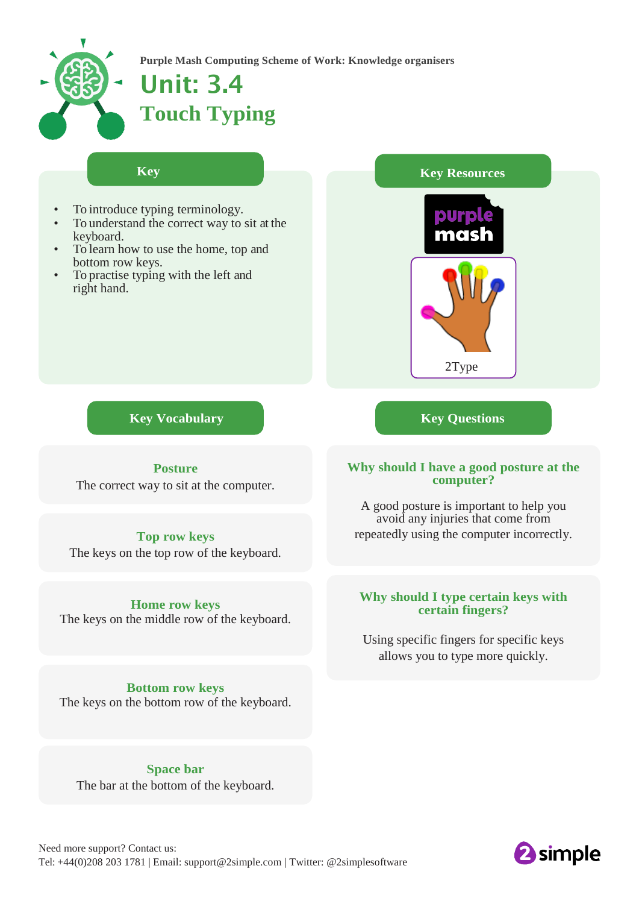

**Purple Mash Computing Scheme of Work: Knowledge organisers**

# Unit: 3.4 **Touch Typing**

### **Key**

- To introduce typing terminology.
- To understand the correct way to sit at the keyboard.
- To learn how to use the home, top and bottom row keys.

**Learning**

To practise typing with the left and right hand.



**Key Vocabulary Key Questions**

# **Posture**

The correct way to sit at the computer.

# **Top row keys** The keys on the top row of the keyboard.

# **Home row keys**

The keys on the middle row of the keyboard.

**Bottom row keys** The keys on the bottom row of the keyboard.

**Space bar** The bar at the bottom of the keyboard.

# **Why should I have a good posture at the computer?**

A good posture is important to help you avoid any injuries that come from repeatedly using the computer incorrectly.

# **Why should I type certain keys with certain fingers?**

Using specific fingers for specific keys allows you to type more quickly.